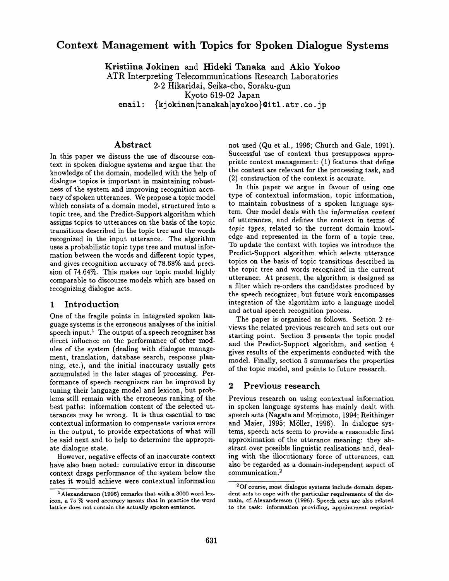# **Context Management with Topics for Spoken Dialogue Systems**

**Kristiina Jokinen** and Hideki Tanaka and Akio **Yokoo** 

ATR Interpreting Telecommunications Research Laboratories

2-2 Hikaridai, Seika-cho, Soraku-gun

Kyoto 619-02 Japan

email: {kjokinen|tanakah|ayokoo}@itl.atr.co.jp

### Abstract

In this paper we discuss the use of discourse context in spoken dialogue systems and argue that the knowledge of the domain, modelled with the help of dialogue topics is important in maintaining robustness of the system and improving recognition accuracy of spoken utterances. We propose a topic model which consists of a domain model, structured into a topic tree, and the Predict-Support algorithm which assigns topics to utterances on the basis of the topic transitions described in the topic tree and the words recognized in the input utterance. The algorithm uses a probabilistic topic type tree and mutual information between the words and different topic types, and gives recognition accuracy of 78.68% and precision of 74.64%. This makes our topic model highly comparable to discourse models which are based on recognizing dialogue acts.

### 1 Introduction

One of the fragile points in integrated spoken language systems is the erroneous analyses of the initial speech input.<sup>1</sup> The output of a speech recognizer has direct influence on the performance of other modules of the system (dealing with dialogue management, translation, database search, response planning, etc.), and the initial inaccuracy usually gets accumulated in the later stages of processing. Performance of speech recognizers can be improved by tuning their language model and lexicon, but problems still remain with the erroneous ranking of the best paths: information content of the selected utterances may be wrong. It is thus essential to use contextual information to compensate various errors in the output, to provide expectations of what will be said next and to help to determine the appropriate dialogue state.

However, negative effects of an inaccurate context have also been noted: cumulative error in discourse context drags performance of the system below the rates it would achieve were contextual information not used (Qu et al., 1996; Church and Gale, 1991). Successful use of context thus presupposes appropriate context management: (1) features that define the context are relevant for the processing task, and (2) construction of the context is accurate.

In this paper we argue in favour of using one type of contextual information, topic information, to maintain robustness of a spoken language system. Our model deals with the *information content*  of utterances, and defines the context in terms of *topic types,* related to the current domain knowledge and represented in the form of a topic tree. To update the context with topics we introduce the Predict-Support algorithm which selects utterance topics on the basis of topic transitions described in the topic tree and words recognized in the current utterance. At present, the algorithm is designed as a filter which re-orders the candidates produced by the speech recognizer, but future work encompasses integration of the algorithm into a language model and actual speech recognition process.

The paper is organised as follows. Section 2 reviews the related previous research and sets out our starting point. Section 3 presents the topic model and the Predict-Support algorithm, and section 4 gives results of the experiments conducted with the model. Finally, section 5 summarises the properties of the topic model, and points to future research.

### **2 Previous** research

Previous research on using contextual information in spoken language systems has mainly dealt with speech acts (Nagata and Morimoto, 1994; Reithinger and Maier, 1995; Möller, 1996). In dialogue systems, speech acts seem to provide a reasonable first approximation of the utterance meaning: they abstract over possible linguistic realisations and, dealing with the illocutionary force of utterances, can also be regarded as a domain-independent aspect of communication. 2

<sup>&</sup>lt;sup>1</sup> Alexandersson (1996) remarks that with a 3000 word lexicon, a 75 % word accuracy means that in practice the word lattice does not contain the actually **spoken sentence,** 

<sup>2</sup>Of course, most dialogue systems include domain dependent acts **to cope with the** particular requirements **of the** domain, cf.Alexandersson (1996). Speech acts are also related **to** the task: information providing, **appointment negotiat-**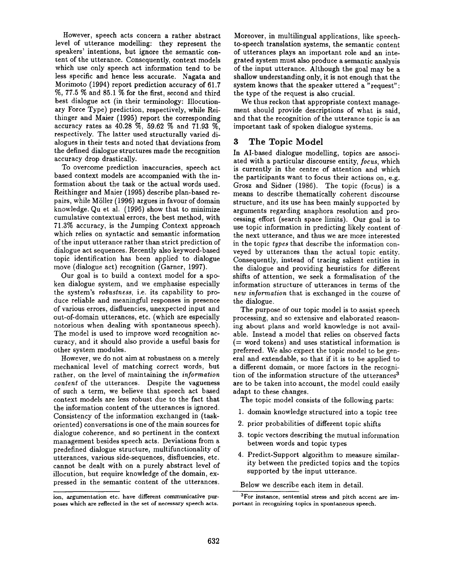However, speech acts concern a rather abstract level of utterance modelling: they represent the speakers' intentions, but ignore the semantic content of the utterance. Consequently, context models which use only speech act information tend to be less specific and hence less accurate. Nagata and Morimoto (1994) report prediction accuracy of 61.7 %, 77.5 % and 85.1% for the first, second and third best dialogue act (in their terminology: Illocutionary Force Type) prediction, respectively, while Reithinger and Maier (1995) report the corresponding accuracy rates as 40.28 %, 59.62 % and 71.93 %, respectively. The latter used structurally varied dialogues in their tests and noted that deviations from the defined dialogue structures made the recognition accuracy drop drastically.

To overcome prediction inaccuracies, speech act based context models are accompanied with the information about the task or the actual words used. Reithinger and Maier (1995) describe plan-based repairs, while MSller (1996) argues in favour of domain knowledge. Qu et al. (1996) show that to minimize cumulative contextual errors, the best method, with 71.3% accuracy, is the Jumping Context approach which relies on syntactic and semantic information of the input utterance rather than strict prediction of dialogue act sequences. Recently also keyword-based topic identification has been applied to dialogue move (dialogue act) recognition (Garner, 1997).

Our goal is to build a context model for a spoken dialogue system, and we emphasise especially the system's *robustness,* i.e. its capability to produce reliable and meaningful responses in presence of various errors, disfluencies, unexpected input and out-of-domain utterances, etc. (which are especially notorious when dealing with spontaneous speech). The model is used to improve word recognition accuracy, and it should also provide a useful basis for other system modules.

However, we do not aim at robustness on a merely mechanical level of matching correct words, but rather, on the level of maintaining the *information content* of the utterances. Despite the vagueness of such a term, we believe that speech act based context models are less robust due to the fact that the information content of the utterances is ignored. Consistency of the information exchanged in (taskoriented) conversations is one of the main sources for dialogue coherence, and so pertinent in the context management besides speech acts. Deviations from a predefined dialogue structure, multifunctionality of utterances, various side-sequences, disfluencies, etc. cannot be dealt with on a purely abstract level of illocution, but require knowledge of the domain, expressed in the semantic content of the utterances. Moreover, in multilingual applications, like speechto-speech translation systems, the semantic content of utterances plays an important role and an integrated system must also produce a semantic analysis of the input utterance. Although the goal may be a shallow understanding only, it is not enough that the system knows that the speaker uttered a "request": the type of the request is also crucial.

We thus reckon that appropriate context management should provide descriptions of what is said, and that the recognition of the utterance topic is an important task of spoken dialogue systems.

## **3 The Topic Model**

In AI-based dialogue modelling, topics are associated with a particular discourse entity, *focus,* which is currently in the centre of attention and which the participants want to focus their actions on, e.g. Grosz and Sidner (1986). The topic (focus) is a means to describe thematically coherent discourse structure, and its use has been mainly supported by arguments regarding anaphora resolution and processing effort (search space limits). Our goal is to use topic information in predicting likely content of the next utterance, and thus we are more interested in the topic *types* that describe the information conveyed by utterances than the actual topic entity. Consequently, instead of tracing salient entities in the dialogue and providing heuristics for different shifts of attention, we seek a formalisation of the information structure of utterances in terms of the *new information* that is exchanged in the course of the dialogue.

The purpose of our topic model is to assist speech processing, and so extensive and elaborated reasoning about plans and world knowledge is not available. Instead a model that relies on observed facts (= word tokens) and uses statistical information is preferred. We also expect the topic model to be general and extendable, so that if it is to be applied to a different domain, or more factors in the recognition of the information structure of the utterances<sup>3</sup> are to be taken into account, the model could easily adapt to these changes.

The topic model consists of the following parts:

- 1. domain knowledge structured into a topic tree
- 2. prior probabilities of different topic shifts
- 3. topic vectors describing the mutual information between words and topic types
- 4. Predict-Support algorithm to measure similarity between the predicted topics and the topics supported by the input utterance.

Below we describe each item in detail.

ion, argumentation etc. have different communicative purposes which are reflected in the set of necessary speech acts.

<sup>3</sup>For instance, sentential stress and pitch accent are important in recognizing topics in spontaneous speech.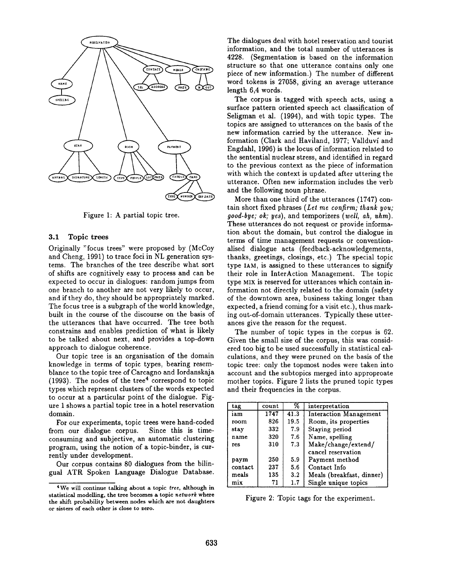

Figure 1: A partial topic tree.

#### 3.1 Topic trees

Originally "focus trees" were proposed by (McCoy and Cheng, 1991) to trace foci in NL generation systems. The branches of the tree describe what sort of shifts are cognitively easy to process and can be expected to occur in dialogues: random jumps from one branch to another are not very likely to occur, and if they do, they should be appropriately marked. The focus tree is a subgraph of the world knowledge, built in the course of the discourse on the basis of the utterances that have occurred. The tree both constrains and enables prediction of what is likely to be talked about next, and provides a top-down approach to dialogue coherence.

Our topic tree is an organisation of the domain knowledge in terms of topic types, bearing resemblance to the topic tree of Carcagno and Iordanskaja (1993). The nodes of the tree<sup>4</sup> correspond to topic types which represent clusters of the words expected to occur at a particular point of the dialogue. Figure 1 shows a partial topic tree in a hotel reservation domain.

For our experiments, topic trees were hand-coded from our dialogue corpus. Since this is timeconsuming and subjective, an automatic clustering program, using the notion of a topic-binder, is currently under development.

Our corpus contains 80 dialogues from the bilingual ATR Spoken Language Dialogue Database. The dialogues deal with hotel reservation and tourist information, and the total number of utterances is 4228. (Segmentation is based on the information structure so that one utterance contains only one piece of new information.) The number of different word tokens is 27058, giving an average utterance length 6,4 words.

The corpus is tagged with speech acts, using a surface pattern oriented speech act classification of Seligman et al. (1994), and with topic types. The topics are assigned to utterances on the basis of the new information carried by the utterance. New information (Clark and Haviland, 1977; Vallduví and Engdahl, 1996) is the locus of information related to the sentential nuclear stress, and identified in regard to the previous context as the piece of information with which the context is updated after uttering the utterance. Often new information includes the verb and the following noun phrase.

More than one third of the utterances (1747) contain short fixed phrases *(Let me confirm; thank you; good.bye; ok; yes),* and temporizers *(well, ah, uhm).*  These utterances do not request or provide information about the domain, but control the dialogue in terms of time management requests or conventionalised dialogue acts (feedback-acknowledgements, thanks, greetings, closings, etc.) The special topic type IAM, is assigned to these utterances to signify their role in InterAction Management. The topic type MIX is reserved for utterances which contain information not directly related to the domain (safety of the downtown area, business taking longer than expected, a friend coming for a visit etc.), thus marking out-of-domain utterances. Typically these utterances give the reason for the request.

The number of topic types in the corpus is 62. Given the small size of the corpus, this was considered too big to be used successfully in statistical calculations, and they were pruned on the basis of the topic tree: only the topmost nodes were taken into account and the subtopics merged into approproate mother topics. Figure 2 lists the pruned topic types and their frequencies in the corpus.

| tag     | count | %       | interpretation            |  |
|---------|-------|---------|---------------------------|--|
| iam     | 1747  | 41.3    | Interaction Management    |  |
| room    | 826   | 19.5    | Room, its properties      |  |
| stay    | 332   | 7.9     | Staving period            |  |
| name    | 320   | 7.6     | Name, spelling            |  |
| res     | 310   | 7.3     | Make/change/extend/       |  |
|         |       |         | cancel reservation        |  |
| paym    | 250   | 5.9     | Payment method            |  |
| contact | 237   | 5.6     | Contact Info              |  |
| meals   | 135   | $3.2\,$ | Meals (breakfast, dinner) |  |
| mix     | 71    | 1.7     | Single unique topics      |  |

Figure 2: Topic tags for the experiment.

<sup>4</sup>We will continue talking about a topic *tree,* although in statistical modelling, the tree becomes a topic *network* where the shift probability between nodes which are not daughters or sisters of each other is close to zero.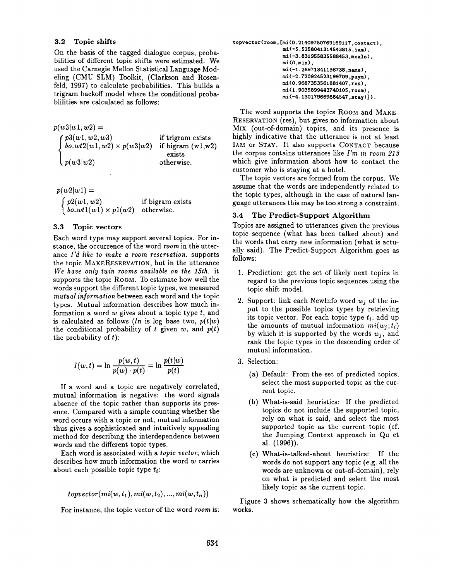#### 3.2 Topic shifts

On the basis of the tagged dialogue corpus, probabilities of different topic shifts were estimated. We used the Carnegie Mellon Statistical Language Modeling (CMU SLM) Toolkit, (Clarkson and Rosenfeld, 1997) to calculate probabilities. This builds a trigram backoff model where the conditional probablilities are calculated as follows:

 $p(w3|w1, w2) =$  $p3(w1, w2, w3)$  $bo\_wt2(w1, w2) \times p(w3|w2)$  if bigram  $(w1,w2)$ *p(w3lw2)*  if trigram exists exists otherwise.

 $p(w2|w1) =$  $\begin{cases} p2(w1, w2) & \text{if bigram exists} \\ bo\_wt1(w1) \times p1(w2) & \text{otherwise.} \end{cases}$  $\partial$  *bo\_wtl(wl) × pl(w2)* 

#### 3.3 Topic vectors

Each word type may support several topics. For instance, the occurrence of the word *room* in the utterance *I'd like to make a room reservation,* supports the topic MAKERESERVATION, but in the utterance *We have only twin rooms available on the 15th.* it supports the topic ROOM. To estimate how well the words support the different topic types, we measured *mutual information* between each word and the topic types. Mutual information describes how much information a word  $w$  gives about a topic type  $t$ , and is calculated as follows *(ln* is log base two,  $p(t|w)$ ) the conditional probability of t given  $w$ , and  $p(t)$ the probability of **t):** 

$$
I(w,t) = \ln \frac{p(w,t)}{p(w) \cdot p(t)} = \ln \frac{p(t|w)}{p(t)}
$$

If a word and a topic are negatively correlated, mutual information is negative: the word signals absence of the topic rather than supports its presence. Compared with a simple counting whether the word occurs with a topic or not, mutual information thus gives a sophisticated and intuitively appealing method for describing the interdependence between words and the different topic types.

Each word is associated with a *topic vector,* which describes how much information the word w carries about each possible topic type *ti:* 

$$
to vector(mi(w, t_1), mi(w, t_2), ..., mi(w, t_n))
$$

For instance, the topic vector of the word *room* is:

```
topvector (room, [mi (0. 21409750769169117, cont act ), 
     mi (-5. 5258041314543815, iam), 
      mi (-3. 831955835588453 ,meals ), 
     mi(0,mix).
      mi(-1.26971341136738, name),
     mi (-2. 720924523199709, paym) , 
      mi (0. 9687353561881407 ,res), 
     mi (I. 9035899442740105, room), 
      mi(-4.130179669884547, stay).
```
The word supports the topics ROOM and MAKE-RESERVATION (res), but gives no information about MIX (out-of-domain) topics, and its presence is highly indicative that the utterance is not at least IAM or STAY. It also supports CONTACT because the corpus contains utterances like *I'm in room 213*  which give information about how to contact the customer who is staying at a hotel.

The topic vectors are formed from the corpus. We assume that the words are independently related to the topic types, although in the case of natural language utterances this may be too strong a constraint.

#### 3.4 The Predict-Support Algorithm

Topics are assigned to utterances given the previous topic sequence (what has been talked about) and the words that carry new information (what is actually said). The Predict-Support Algorithm goes as follows:

- 1. Prediction: get the set of likely next topics in regard to the previous topic sequences using the topic shift model.
- 2. Support: link each Newlnfo word *wj* of the input to the possible topics types by retrieving its topic vector. For each topic type  $t_i$ , add up the amounts of mutual information  $mi(w_i;t_i)$ by which it is supported by the words *wj,* and rank the topic types in the descending order of mutual information.
- 3. Selection:
	- (a) Default: From the set of predicted topics, select the most supported topic as the current topic.
	- (b) What-is-said heuristics: If the predicted topics do not include the supported topic, rely on what is said, and select the most supported topic as the current topic (cf. the Jumping Context approach in Qu et al. (1996)).
	- (c) What-is-talked-about heuristics: If the words do not support any topic (e.g. all the words are unknown or out-of-domain), rely on what is predicted and select the most likely topic as the current topic.

Figure 3 shows schematically how the algorithm works.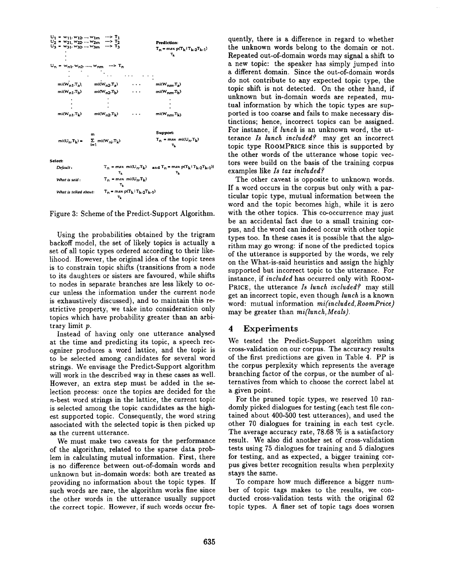

Figure 3: Scheme of the Predict-Support Algorithm.

Using the probabilities obtained by the trigram backoff model, the set of likely topics is actually a set of all topic types ordered according to their likelihood. However, the original idea of the topic trees is to constrain topic shifts (transitions from a node to its daughters or sisters are favoured, while shifts to nodes in separate branches are less likely to occur unless the information under the current node is exhaustively discussed), and to maintain this restrictive property, we take into consideration only topics which have probability greater than an arbitrary limit p.

Instead of having only one utterance analysed at the time and predicting its topic, a speech recognizer produces a word lattice, and the topic is to be selected among candidates for several word strings. We envisage the Predict-Support algorithm will work in the described way in these cases as well. However, an extra step must be added in the selection process: once the topics are decided for the n-best word strings in the lattice, the current topic is selected among the topic candidates as the highest supported topic. Consequently, the word string associated with the selected topic is then picked up as the current utterance.

We must make two caveats for the performance of the algorithm, related to the sparse data problem in calculating mutual information. First, there is no difference between out-of-domain words and unknown but in-domain words: both are treated as providing no information about the topic types. If such words are rare, the algorithm works fine since the other words in the utterance usually support the correct topic. However, if such words occur frequently, there is a difference in regard to whether the unknown words belong to the domain or not. Repeated out-of-domain words may signal a shift to a new topic: the speaker has simply jumped into a different domain. Since the out-of-domain words do not contribute to any expected topic type, the topic shift is not detected. On the other hand, if unknown but in-domain words are repeated, mutual information by which the topic types are supported is too coarse and fails to make necessary distinctions; hence, incorrect topics can be assigned. For instance, if *lunch* is an unknown word, the utterance *Is lunch included?* may get an incorrect topic type ROOMPRICE since this is supported by the other words of the utterance whose topic vectors were build on the basis of the training corpus examples like *Is tax included?* 

The other caveat is opposite to unknown words. If a word occurs in the corpus but only with a particular topic type, mutual information between the word and the topic becomes high, while it is zero with the other topics. This co-occurrence may just be an accidental fact due to a small training corpus, and the word can indeed occur with other topic types too. In these cases it is possible that the algorithm may go wrong: if none of the predicted topics of the utterance is supported by the words, we rely on the What-is-said heuristics and assign the highly supported but incorrect topic to the utterance. For instance, if *included* has occurred only with ROOM-PRICE, the utterance *Is lunch included?* may still get an incorrect topic, even though *lunch* is a known word: mutual information *mi(included, RoomPrice)*  may be greater than *mi(lunch, Meals).* 

#### 4 Experiments

We tested the Predict-Support algorithm using cross-validation on our corpus. The accuracy results of the first predictions are given in Table 4. PP is the corpus perplexity which represents the average branching factor of the corpus, or the number of alternatives from which to choose the correct label at a given point.

For the pruned topic types, we reserved 10 randomly picked dialogues for testing (each test file contained about 400-500 test utterances), and used the other 70 dialogues for training in each test cycle. The average accuracy rate, 78.68 % is a satisfactory result. We also did another set of cross-validation tests using 75 dialogues for training and 5 dialogues for testing, and as expected, a bigger training corpus gives better recognition results when perplexity stays the same.

To compare how much difference a bigger number of topic tags makes to the results, we conducted cross-validation tests with the original 62 topic types. A finer set of topic tags does worsen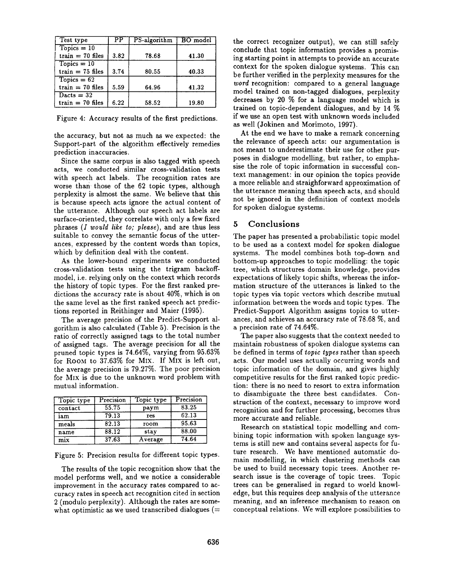| Test type          | РP   | PS-algorithm | <b>BO</b> model |
|--------------------|------|--------------|-----------------|
| $Topics = 10$      |      |              |                 |
| $train = 70$ files | 3.82 | 78.68        | 41.30           |
| $Topics = 10$      |      |              |                 |
| train $= 75$ files | 3.74 | 80.55        | 40.33           |
| $Topics = 62$      |      |              |                 |
| train $= 70$ files | 5.59 | 64.96        | 41.32           |
| Dacts = $32$       |      |              |                 |
| $train = 70$ files | 6.22 | 58.52        | 19.80           |

Figure 4: Accuracy results of the first predictions.

the accuracy, but not as much as we expected: the Support-part of the algorithm effectively remedies prediction inaccuracies.

Since the same corpus is also tagged with speech acts, we conducted similar cross-validation tests with speech act labels. The recognition rates are worse than those of the 62 topic types, although perplexity is almost the same. We believe that this is because speech acts ignore the actual content of the utterance. Although our speech act labels are surface-oriented, they correlate with only a few fixed phrases *(I would like to; please),* and are thus less suitable to convey the semantic focus of the utterances, expressed by the content words than topics, which by definition deal with the content.

As the lower-bound experiments we conducted cross-validation tests using the trigram backoffmodel, i.e. relying only on the context which records the history of topic types. For the first ranked predictions the accuracy rate is about 40%, which is on the same level as the first ranked speech act predictions reported in Reithinger and Maier (1995).

The average precision of the Predict-Support algorithm is also calculated (Table 5). Precision is the ratio of correctly assigned tags to the total number of assigned tags. The average precision for all the pruned topic types is 74.64%, varying from 95.63% for ROOM to 37.63% for MIx. If MIx is left out, the average precision is 79.27%. The poor precision for MIX is due to the unknown word problem with mutual information.

| Topic type | Precision | Topic type | Precision |
|------------|-----------|------------|-----------|
| contact    | 55.75     | paym       | 83.25     |
| iam        | 79.13     | res        | 62.13     |
| meals      | 82.13     | room       | 95.63     |
| name       | 88.12     | stay       | 88.00     |
| mix        | 37.63     | Average    | 74.64     |

Figure 5: Precision results for different topic types.

The results of the topic recognition show that the model performs well, and we notice a considerable improvement in the accuracy rates compared to accuracy rates in speech act recognition cited in section 2 (modulo perplexity). Although the rates are somewhat optimistic as we used transcribed dialogues  $(=$  the correct recognizer output), we can still safely conclude that topic information provides a promising starting point in attempts to provide an accurate context for the spoken dialogue systems. This can be further verified in the perplexity measures for the *word* recognition: compared to a general language model trained on non-tagged dialogues, perplexity decreases by 20 % for a language model which is trained on topic-dependent dialogues, and by 14 % if we use an open test with unknown words included as well (Jokinen and Morimoto, 1997).

At the end we have to make a remark concerning the relevance of speech acts: our argumentation is not meant to underestimate their use for other purposes in dialogue modelling, but rather, to emphasise the role of topic information in successful context management: in our opinion the topics provide a more reliable and straighforward approximation of the utterance meaning than speech acts, and should not be ignored in the definition of context models for spoken dialogue systems.

## 5 Conclusions

The paper has presented a probabilistic topic model to be used as a context model for spoken dialogue systems. The model combines both top-down and bottom-up approaches to topic modelling: the topic tree, which structures domain knowledge, provides expectations of likely topic shifts, whereas the information structure of the utterances is linked to the topic types via topic vectors which describe mutual information between the words and topic types. The Predict-Support Algorithm assigns topics to utterances, and achieves an accuracy rate of 78.68 %, and a precision rate of 74.64%.

The paper also suggests that the context needed to maintain robustness of spoken dialogue systems can be defined in terms of *topic types* rather than speech acts. Our model uses actually occurring words and topic information of the domain, and gives highly competitive results for the first ranked topic prediction: there is no need to resort to extra information to disambiguate the three best candidates. Construction of the context, necessary to improve word recognition and for further processing, becomes thus more accurate and reliable.

Research on statistical topic modelling and combining topic information with spoken language systems is still new and contains several aspects for future research. We have mentioned automatic domain modelling, in which clustering methods can be used to build necessary topic trees. Another research issue is the coverage of topic trees. Topic trees can be generalised in regard to world knowledge, but this requires deep analysis of the utterance meaning, and an inference mechanism to reason on conceptual relations. We will explore possibilities to